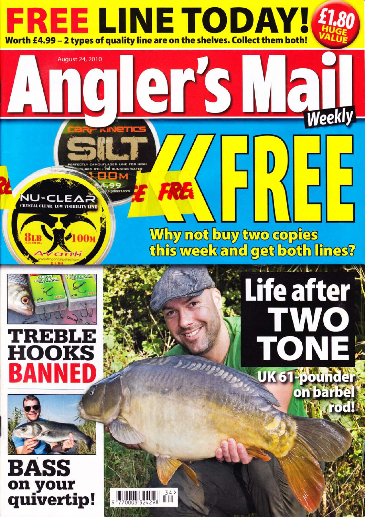